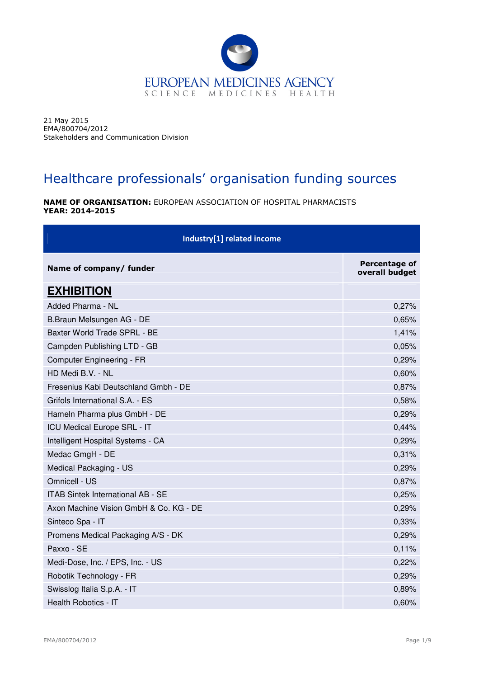

21 May 2015 EMA/800704/2012 Stakeholders and Communication Division

## Healthcare professionals' organisation funding sources

NAME OF ORGANISATION: EUROPEAN ASSOCIATION OF HOSPITAL PHARMACISTS YEAR: 2014-2015

| Industry[1] related income             |                                        |
|----------------------------------------|----------------------------------------|
| Name of company/ funder                | <b>Percentage of</b><br>overall budget |
| <b>EXHIBITION</b>                      |                                        |
| Added Pharma - NL                      | 0,27%                                  |
| B.Braun Melsungen AG - DE              | 0,65%                                  |
| Baxter World Trade SPRL - BE           | 1,41%                                  |
| Campden Publishing LTD - GB            | 0,05%                                  |
| Computer Engineering - FR              | 0,29%                                  |
| HD Medi B.V. - NL                      | 0,60%                                  |
| Fresenius Kabi Deutschland Gmbh - DE   | 0,87%                                  |
| Grifols International S.A. - ES        | 0,58%                                  |
| Hameln Pharma plus GmbH - DE           | 0,29%                                  |
| ICU Medical Europe SRL - IT            | 0,44%                                  |
| Intelligent Hospital Systems - CA      | 0,29%                                  |
| Medac GmgH - DE                        | 0,31%                                  |
| Medical Packaging - US                 | 0,29%                                  |
| Omnicell - US                          | 0,87%                                  |
| ITAB Sintek International AB - SE      | 0,25%                                  |
| Axon Machine Vision GmbH & Co. KG - DE | 0,29%                                  |
| Sinteco Spa - IT                       | 0,33%                                  |
| Promens Medical Packaging A/S - DK     | 0,29%                                  |
| Paxxo - SE                             | 0,11%                                  |
| Medi-Dose, Inc. / EPS, Inc. - US       | 0,22%                                  |
| Robotik Technology - FR                | 0,29%                                  |
| Swisslog Italia S.p.A. - IT            | 0,89%                                  |
| Health Robotics - IT                   | 0,60%                                  |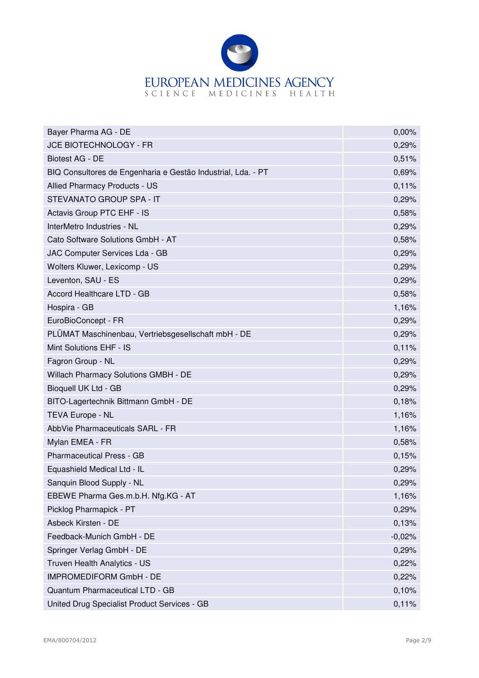

| Bayer Pharma AG - DE                                         | 0,00%    |
|--------------------------------------------------------------|----------|
| JCE BIOTECHNOLOGY - FR                                       | 0,29%    |
| Biotest AG - DE                                              | 0,51%    |
| BIQ Consultores de Engenharia e Gestão Industrial, Lda. - PT | 0,69%    |
| Allied Pharmacy Products - US                                | 0,11%    |
| STEVANATO GROUP SPA - IT                                     | 0,29%    |
| Actavis Group PTC EHF - IS                                   | 0,58%    |
| InterMetro Industries - NL                                   | 0,29%    |
| Cato Software Solutions GmbH - AT                            | 0,58%    |
| JAC Computer Services Lda - GB                               | 0,29%    |
| Wolters Kluwer, Lexicomp - US                                | 0,29%    |
| Leventon, SAU - ES                                           | 0,29%    |
| Accord Healthcare LTD - GB                                   | 0,58%    |
| Hospira - GB                                                 | 1,16%    |
| EuroBioConcept - FR                                          | 0,29%    |
| PLÜMAT Maschinenbau, Vertriebsgesellschaft mbH - DE          | 0,29%    |
| Mint Solutions EHF - IS                                      | 0,11%    |
| Fagron Group - NL                                            | 0,29%    |
| Willach Pharmacy Solutions GMBH - DE                         | 0,29%    |
| Bioquell UK Ltd - GB                                         | 0,29%    |
| BITO-Lagertechnik Bittmann GmbH - DE                         | 0,18%    |
| TEVA Europe - NL                                             | 1,16%    |
| AbbVie Pharmaceuticals SARL - FR                             | 1,16%    |
| Mylan EMEA - FR                                              | 0,58%    |
| <b>Pharmaceutical Press - GB</b>                             | 0,15%    |
| Equashield Medical Ltd - IL                                  | 0,29%    |
| Sanquin Blood Supply - NL                                    | 0,29%    |
| EBEWE Pharma Ges.m.b.H. Nfg.KG - AT                          | 1,16%    |
| Picklog Pharmapick - PT                                      | 0,29%    |
| Asbeck Kirsten - DE                                          | 0,13%    |
| Feedback-Munich GmbH - DE                                    | $-0,02%$ |
| Springer Verlag GmbH - DE                                    | 0,29%    |
| Truven Health Analytics - US                                 | 0,22%    |
| IMPROMEDIFORM GmbH - DE                                      | 0,22%    |
| Quantum Pharmaceutical LTD - GB                              | 0,10%    |
| United Drug Specialist Product Services - GB                 | 0,11%    |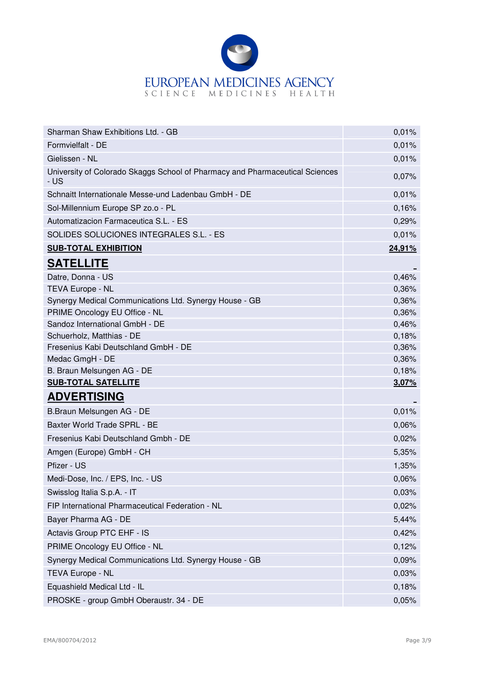

| Sharman Shaw Exhibitions Ltd. - GB                                                   | 0,01%  |
|--------------------------------------------------------------------------------------|--------|
| Formvielfalt - DE                                                                    | 0,01%  |
| Gielissen - NL                                                                       | 0,01%  |
| University of Colorado Skaggs School of Pharmacy and Pharmaceutical Sciences<br>- US | 0,07%  |
| Schnaitt Internationale Messe-und Ladenbau GmbH - DE                                 | 0,01%  |
| Sol-Millennium Europe SP zo.o - PL                                                   | 0,16%  |
| Automatizacion Farmaceutica S.L. - ES                                                | 0,29%  |
| SOLIDES SOLUCIONES INTEGRALES S.L. - ES                                              | 0,01%  |
| <b>SUB-TOTAL EXHIBITION</b>                                                          | 24,91% |
| <b>SATELLITE</b>                                                                     |        |
| Datre, Donna - US                                                                    | 0,46%  |
| <b>TEVA Europe - NL</b>                                                              | 0,36%  |
| Synergy Medical Communications Ltd. Synergy House - GB                               | 0,36%  |
| PRIME Oncology EU Office - NL                                                        | 0,36%  |
| Sandoz International GmbH - DE                                                       | 0,46%  |
| Schuerholz, Matthias - DE                                                            | 0,18%  |
| Fresenius Kabi Deutschland GmbH - DE                                                 | 0,36%  |
| Medac GmgH - DE                                                                      | 0,36%  |
| B. Braun Melsungen AG - DE                                                           | 0,18%  |
| <b>SUB-TOTAL SATELLITE</b>                                                           | 3,07%  |
| <b>ADVERTISING</b>                                                                   |        |
| B.Braun Melsungen AG - DE                                                            | 0,01%  |
| Baxter World Trade SPRL - BE                                                         | 0,06%  |
| Fresenius Kabi Deutschland Gmbh - DE                                                 | 0,02%  |
| Amgen (Europe) GmbH - CH                                                             | 5,35%  |
| Pfizer - US                                                                          | 1,35%  |
| Medi-Dose, Inc. / EPS, Inc. - US                                                     | 0,06%  |
| Swisslog Italia S.p.A. - IT                                                          | 0,03%  |
| FIP International Pharmaceutical Federation - NL                                     | 0,02%  |
| Bayer Pharma AG - DE                                                                 | 5,44%  |
| Actavis Group PTC EHF - IS                                                           | 0,42%  |
| PRIME Oncology EU Office - NL                                                        | 0,12%  |
| Synergy Medical Communications Ltd. Synergy House - GB                               | 0,09%  |
| TEVA Europe - NL                                                                     | 0,03%  |
| Equashield Medical Ltd - IL                                                          | 0,18%  |
| PROSKE - group GmbH Oberaustr. 34 - DE                                               | 0,05%  |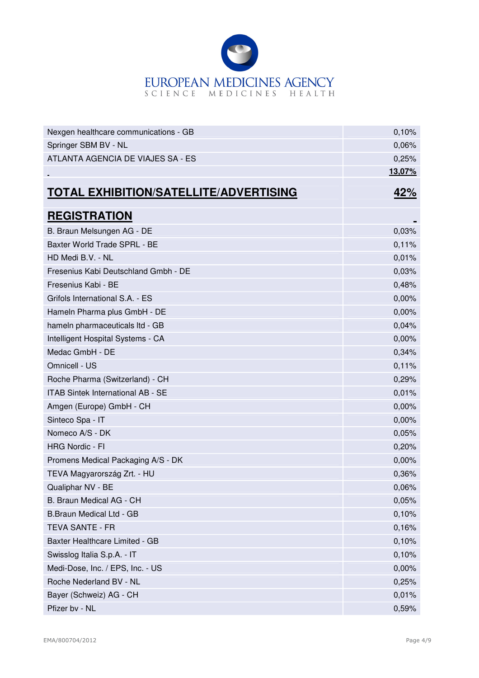

| Nexgen healthcare communications - GB         | 0,10%         |
|-----------------------------------------------|---------------|
| Springer SBM BV - NL                          | 0,06%         |
| ATLANTA AGENCIA DE VIAJES SA - ES             | 0,25%         |
|                                               | <u>13,07%</u> |
| <b>TOTAL EXHIBITION/SATELLITE/ADVERTISING</b> | <u>42%</u>    |
| <b>REGISTRATION</b>                           |               |
| B. Braun Melsungen AG - DE                    | 0,03%         |
| Baxter World Trade SPRL - BE                  | 0,11%         |
| HD Medi B.V. - NL                             | 0,01%         |
| Fresenius Kabi Deutschland Gmbh - DE          | 0,03%         |
| Fresenius Kabi - BE                           | 0,48%         |
| Grifols International S.A. - ES               | 0,00%         |
| Hameln Pharma plus GmbH - DE                  | 0,00%         |
| hameln pharmaceuticals ltd - GB               | 0,04%         |
| Intelligent Hospital Systems - CA             | 0,00%         |
| Medac GmbH - DE                               | 0,34%         |
| Omnicell - US                                 | 0,11%         |
| Roche Pharma (Switzerland) - CH               | 0,29%         |
| ITAB Sintek International AB - SE             | 0,01%         |
| Amgen (Europe) GmbH - CH                      | 0,00%         |
| Sinteco Spa - IT                              | 0,00%         |
| Nomeco A/S - DK                               | 0,05%         |
| <b>HRG Nordic - FI</b>                        | 0,20%         |
| Promens Medical Packaging A/S - DK            | 0,00%         |
| TEVA Magyarország Zrt. - HU                   | 0,36%         |
| Qualiphar NV - BE                             | 0,06%         |
| B. Braun Medical AG - CH                      | 0,05%         |
| B.Braun Medical Ltd - GB                      | 0,10%         |
| <b>TEVA SANTE - FR</b>                        | 0,16%         |
| Baxter Healthcare Limited - GB                | 0,10%         |
| Swisslog Italia S.p.A. - IT                   | 0,10%         |
| Medi-Dose, Inc. / EPS, Inc. - US              | 0,00%         |
| Roche Nederland BV - NL                       | 0,25%         |
| Bayer (Schweiz) AG - CH                       | 0,01%         |
| Pfizer bv - NL                                | 0,59%         |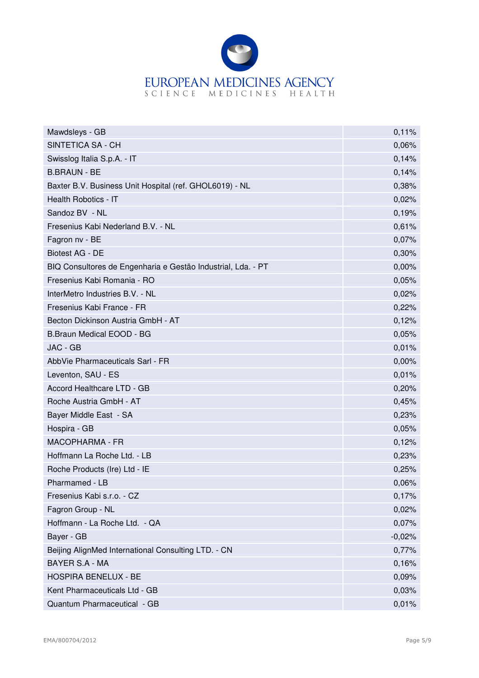

| Mawdsleys - GB                                               | 0,11%    |
|--------------------------------------------------------------|----------|
| SINTETICA SA - CH                                            | 0,06%    |
| Swisslog Italia S.p.A. - IT                                  | 0,14%    |
| <b>B.BRAUN - BE</b>                                          | 0,14%    |
| Baxter B.V. Business Unit Hospital (ref. GHOL6019) - NL      | 0,38%    |
| Health Robotics - IT                                         | 0,02%    |
| Sandoz BV - NL                                               | 0,19%    |
| Fresenius Kabi Nederland B.V. - NL                           | 0,61%    |
| Fagron nv - BE                                               | 0,07%    |
| <b>Biotest AG - DE</b>                                       | 0,30%    |
| BIQ Consultores de Engenharia e Gestão Industrial, Lda. - PT | 0,00%    |
| Fresenius Kabi Romania - RO                                  | 0,05%    |
| InterMetro Industries B.V. - NL                              | 0,02%    |
| Fresenius Kabi France - FR                                   | 0,22%    |
| Becton Dickinson Austria GmbH - AT                           | 0,12%    |
| B.Braun Medical EOOD - BG                                    | 0,05%    |
| JAC - GB                                                     | 0,01%    |
| AbbVie Pharmaceuticals Sarl - FR                             | 0,00%    |
| Leventon, SAU - ES                                           | 0,01%    |
| Accord Healthcare LTD - GB                                   | 0,20%    |
| Roche Austria GmbH - AT                                      | 0,45%    |
| Bayer Middle East - SA                                       | 0,23%    |
| Hospira - GB                                                 | 0,05%    |
| <b>MACOPHARMA - FR</b>                                       | 0,12%    |
| Hoffmann La Roche Ltd. - LB                                  | 0,23%    |
| Roche Products (Ire) Ltd - IE                                | 0,25%    |
| Pharmamed - LB                                               | 0,06%    |
| Fresenius Kabi s.r.o. - CZ                                   | 0,17%    |
| Fagron Group - NL                                            | 0,02%    |
| Hoffmann - La Roche Ltd. - QA                                | 0,07%    |
| Bayer - GB                                                   | $-0,02%$ |
| Beijing AlignMed International Consulting LTD. - CN          | 0,77%    |
| <b>BAYER S.A - MA</b>                                        | 0,16%    |
| HOSPIRA BENELUX - BE                                         | 0,09%    |
| Kent Pharmaceuticals Ltd - GB                                | 0,03%    |
| Quantum Pharmaceutical - GB                                  | 0,01%    |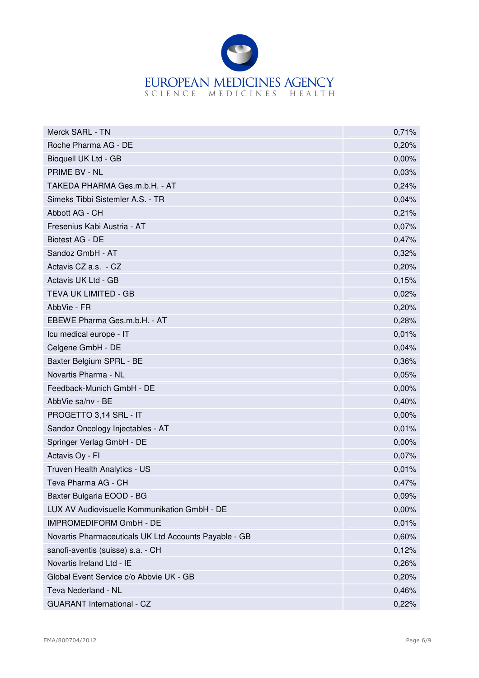

| Merck SARL - TN                                       | 0,71% |
|-------------------------------------------------------|-------|
| Roche Pharma AG - DE                                  | 0,20% |
| Bioquell UK Ltd - GB                                  | 0,00% |
| <b>PRIME BV - NL</b>                                  | 0,03% |
| TAKEDA PHARMA Ges.m.b.H. - AT                         | 0,24% |
| Simeks Tibbi Sistemler A.S. - TR                      | 0,04% |
| Abbott AG - CH                                        | 0,21% |
| Fresenius Kabi Austria - AT                           | 0,07% |
| Biotest AG - DE                                       | 0,47% |
| Sandoz GmbH - AT                                      | 0,32% |
| Actavis CZ a.s. - CZ                                  | 0,20% |
| Actavis UK Ltd - GB                                   | 0,15% |
| TEVA UK LIMITED - GB                                  | 0,02% |
| AbbVie - FR                                           | 0,20% |
| EBEWE Pharma Ges.m.b.H. - AT                          | 0,28% |
| Icu medical europe - IT                               | 0,01% |
| Celgene GmbH - DE                                     | 0,04% |
| Baxter Belgium SPRL - BE                              | 0,36% |
| Novartis Pharma - NL                                  | 0,05% |
| Feedback-Munich GmbH - DE                             | 0,00% |
| AbbVie sa/nv - BE                                     | 0,40% |
| PROGETTO 3,14 SRL - IT                                | 0,00% |
| Sandoz Oncology Injectables - AT                      | 0,01% |
| Springer Verlag GmbH - DE                             | 0,00% |
| Actavis Oy - Fl                                       | 0,07% |
| Truven Health Analytics - US                          | 0,01% |
| Teva Pharma AG - CH                                   | 0,47% |
| Baxter Bulgaria EOOD - BG                             | 0,09% |
| LUX AV Audiovisuelle Kommunikation GmbH - DE          | 0,00% |
| <b>IMPROMEDIFORM GmbH - DE</b>                        | 0,01% |
| Novartis Pharmaceuticals UK Ltd Accounts Payable - GB | 0,60% |
| sanofi-aventis (suisse) s.a. - CH                     | 0,12% |
| Novartis Ireland Ltd - IE                             | 0,26% |
| Global Event Service c/o Abbvie UK - GB               | 0,20% |
| Teva Nederland - NL                                   | 0,46% |
| <b>GUARANT International - CZ</b>                     | 0,22% |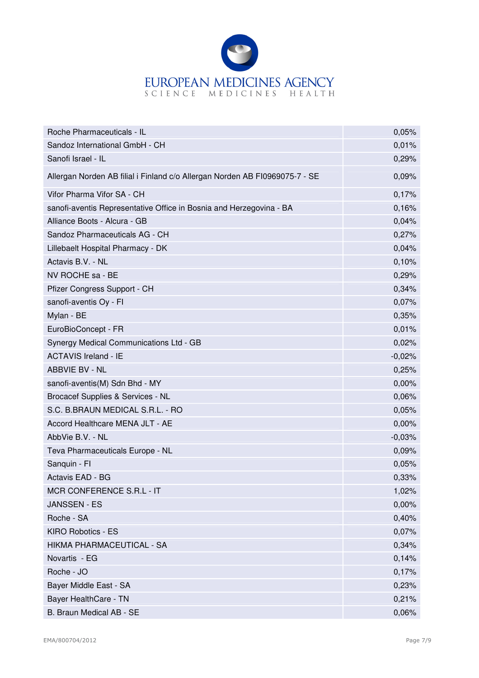

| Roche Pharmaceuticals - IL                                                  | 0,05%    |
|-----------------------------------------------------------------------------|----------|
| Sandoz International GmbH - CH                                              | 0,01%    |
| Sanofi Israel - IL                                                          | 0,29%    |
| Allergan Norden AB filial i Finland c/o Allergan Norden AB F10969075-7 - SE | 0,09%    |
| Vifor Pharma Vifor SA - CH                                                  | 0,17%    |
| sanofi-aventis Representative Office in Bosnia and Herzegovina - BA         | 0,16%    |
| Alliance Boots - Alcura - GB                                                | 0,04%    |
| Sandoz Pharmaceuticals AG - CH                                              | 0,27%    |
| Lillebaelt Hospital Pharmacy - DK                                           | 0,04%    |
| Actavis B.V. - NL                                                           | 0,10%    |
| NV ROCHE sa - BE                                                            | 0,29%    |
| Pfizer Congress Support - CH                                                | 0,34%    |
| sanofi-aventis Oy - Fl                                                      | 0,07%    |
| Mylan - BE                                                                  | 0,35%    |
| EuroBioConcept - FR                                                         | 0,01%    |
| Synergy Medical Communications Ltd - GB                                     | 0,02%    |
| <b>ACTAVIS Ireland - IE</b>                                                 | $-0,02%$ |
| ABBVIE BV - NL                                                              | 0,25%    |
| sanofi-aventis(M) Sdn Bhd - MY                                              | 0,00%    |
| Brocacef Supplies & Services - NL                                           | 0,06%    |
| S.C. B.BRAUN MEDICAL S.R.L. - RO                                            | 0,05%    |
| Accord Healthcare MENA JLT - AE                                             | 0,00%    |
| AbbVie B.V. - NL                                                            | $-0,03%$ |
| Teva Pharmaceuticals Europe - NL                                            | 0,09%    |
| Sanquin - Fl                                                                | 0,05%    |
| Actavis EAD - BG                                                            | 0,33%    |
| MCR CONFERENCE S.R.L - IT                                                   | 1,02%    |
| <b>JANSSEN - ES</b>                                                         | 0,00%    |
| Roche - SA                                                                  | 0,40%    |
| <b>KIRO Robotics - ES</b>                                                   | 0,07%    |
| HIKMA PHARMACEUTICAL - SA                                                   | 0,34%    |
| Novartis - EG                                                               | 0,14%    |
| Roche - JO                                                                  | 0,17%    |
| Bayer Middle East - SA                                                      | 0,23%    |
| Bayer HealthCare - TN                                                       | 0,21%    |
| B. Braun Medical AB - SE                                                    | 0,06%    |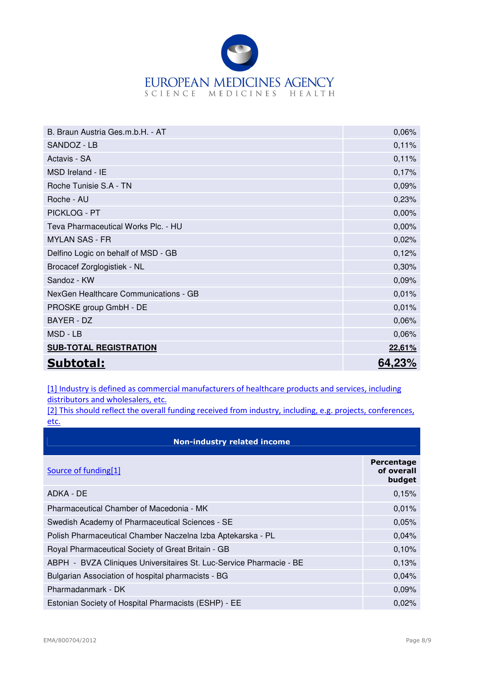

| B. Braun Austria Ges.m.b.H. - AT      | 0,06%  |
|---------------------------------------|--------|
| SANDOZ - LB                           | 0,11%  |
| Actavis - SA                          | 0,11%  |
| MSD Ireland - IE                      | 0,17%  |
| Roche Tunisie S.A - TN                | 0,09%  |
| Roche - AU                            | 0,23%  |
| PICKLOG - PT                          | 0,00%  |
| Teva Pharmaceutical Works Plc. - HU   | 0,00%  |
| <b>MYLAN SAS - FR</b>                 | 0,02%  |
| Delfino Logic on behalf of MSD - GB   | 0,12%  |
| Brocacef Zorglogistiek - NL           | 0,30%  |
| Sandoz - KW                           | 0,09%  |
| NexGen Healthcare Communications - GB | 0,01%  |
| PROSKE group GmbH - DE                | 0,01%  |
| BAYER - DZ                            | 0,06%  |
| MSD - LB                              | 0,06%  |
| <b>SUB-TOTAL REGISTRATION</b>         | 22,61% |
| Subtotal:                             | 64.23% |

[1] Industry is defined as commercial manufacturers of healthcare products and services, including distributors and wholesalers, etc.

[2] This should reflect the overall funding received from industry, including, e.g. projects, conferences, etc.

| <b>Non-industry related income</b>                                  |                                           |
|---------------------------------------------------------------------|-------------------------------------------|
| Source of funding[1]                                                | <b>Percentage</b><br>of overall<br>budget |
| ADKA - DE                                                           | 0,15%                                     |
| Pharmaceutical Chamber of Macedonia - MK                            | 0,01%                                     |
| Swedish Academy of Pharmaceutical Sciences - SE                     | 0,05%                                     |
| Polish Pharmaceutical Chamber Naczelna Izba Aptekarska - PL         | 0,04%                                     |
| Royal Pharmaceutical Society of Great Britain - GB                  | 0,10%                                     |
| ABPH - BVZA Cliniques Universitaires St. Luc-Service Pharmacie - BE | 0,13%                                     |
| Bulgarian Association of hospital pharmacists - BG                  | 0,04%                                     |
| Pharmadanmark - DK                                                  | 0,09%                                     |
| Estonian Society of Hospital Pharmacists (ESHP) - EE                | 0,02%                                     |